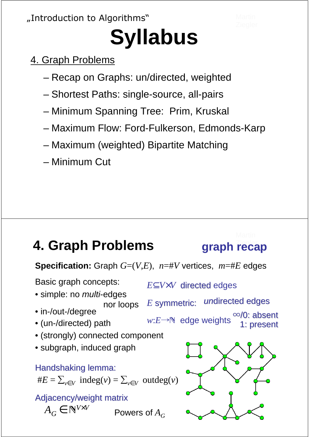"Introduction to Algorithms"

# **Syllabus**

- 4. Graph Problems
	- Recap on Graphs: un/directed, weighted
	- Shortest Paths: single-source, all-pairs
	- Minimum Spanning Tree: Prim, Kruskal
	- Maximum Flow: Ford-Fulkerson, Edmonds-Karp
	- Maximum (weighted) Bipartite Matching
	- Minimum Cut

#### **4. Graph Problems graph recap**

undirected edges

∞/0: absent 1: present

**Specification:** Graph *G*=(*V*,*E*), *n*=#*V* vertices, *m*=#*E* edges

*E*⊂*V*×*V* directed edges

*w*:*E*→N edge weights

*E* symmetric:

Basic graph concepts:

- simple: no *multi*-edges nor loops
- in-/out-/degree
- (un-/directed) path
- (strongly) connected component
- subgraph, induced graph

Handshaking lemma:

#
$$
E = \sum_{v \in V}
$$
 indeg $(v) = \sum_{v \in V}$  outdeg $(v)$ 

Adjacency/weight matrix

 $A_G \in \mathbb{N}^{V \times V}$ 

Powers of  $A_G$ 

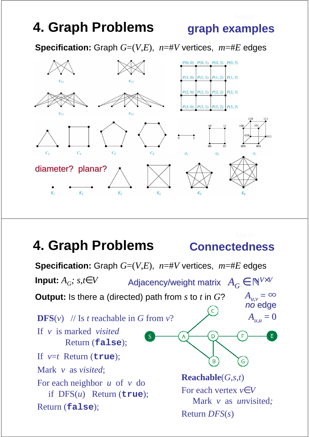graph examples

**Specification:** Graph  $G=(V,E)$ ,  $n=\#V$  vertices,  $m=\#E$  edges



#### Ziegler **Connectedness 4. Graph Problems**

**Specification:** Graph  $G=(V,E)$ ,  $n=\#V$  vertices,  $m=\#E$  edges Adjacency/weight matrix  $A_G \in \mathbb{N}^{V \times V}$ **Input:**  $A_G$ ; s, t  $\in$   $V$  $A_{\mu,\nu} = \infty$ **Output:** Is there a (directed) path from *s* to *t* in *G*? no edge  $A_{u,u} = 0$ **DFS** $(v)$  // Is *t* reachable in *G* from *v*? If *v* is marked *visited* D Return (**false**); If *v*=*t* Return (**true**); G Mark *v* as *visited*; **Reachable**(*G*,*s*,*t*) For each neighbor *u* of *v* do For each vertex *v*∈*V* if DFS(*u*) Return (**true**); Mark *v* as *un*visited*;* Return (**false**); Return *DFS*(*s*)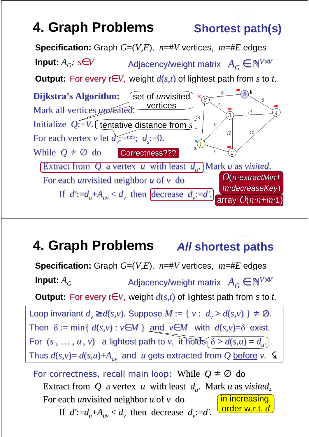**Shortest path(s)** 



#### **4. Graph Problems All shortest paths**

**Specification:** Graph  $G=(V,E)$ ,  $n=\#V$  vertices,  $m=\#E$  edges **Input:**  $A_G$  **Adjacency/weight matrix**  $A_G \in \mathbb{N}^{V \times V}$ **Output:** For every *t*∈ *V*, weight  $d(s,t)$  of lightest path from *s* to *t*. Loop invariant  $d_v \geq d(s,v)$ . Suppose  $M := \{v : d_v > d(s,v)\}\neq \emptyset$ . Then  $\delta := \min\{d(s, v) : v \in M\}$  and  $v \in M$  with  $d(s, v) = \delta$  exist. For  $(s, ..., u, v)$  a lightest path to  $v$ , it holds  $\delta > d(s, u) = d_u$ . Thus  $d(s, v) = d(s, u) + A_w$  and *u* gets extracted from *Q* before *v*.

For correctness, recall main loop: While  $Q \neq \emptyset$  do Extract from *Q* a vertex *u* with least *d<sup>u</sup>* . Mark *u* as *visited*. For each *un*visited neighbor *u* of *v* do If  $d' := d_u + A_u$   $\lt d_v$  then decrease  $d_v := d'$ . in increasing order w.r.t. *d*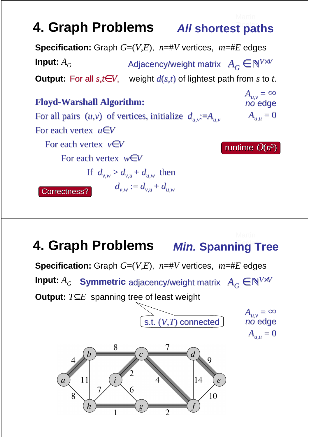#### **4. Graph Problems All shortest paths**

**Specification:** Graph  $G=(V,E)$ ,  $n=\#V$  vertices,  $m=\#E$  edges **Input:**  $A_G$  **Adjacency/weight matrix**  $A_G \in \mathbb{N}^{V \times V}$ **Output:** For all  $s, t \in V$ , weight  $d(s,t)$  of lightest path from *s* to *t*.

**Floyd-Warshall Algorithm:** For all pairs  $(u,v)$  of vertices, initialize  $d_{uv} := A_{uv}$ For each vertex *u*∈*V* For each vertex *v*∈*V* For each vertex *w*∈*V* If  $d_{vw} > d_{v} + d_{uvw}$  then  $d_{v,w} := d_{v,u} + d_{u,w}$  $A_{u,v} = \infty$ no edge  $A_{u,u} = 0$ runtime  $O(n^3)$ Correctness?

#### 4. Graph Problems Min. Spanning Tree

**Specification:** Graph  $G=(V,E)$ ,  $n=\#V$  vertices,  $m=\#E$  edges **Input:**  $A_G$  • Symmetric adjacency/weight matrix  $A_G \in \mathbb{N}^{V \times V}$ **Output:** *T*⊆*E* spanning tree of least weight

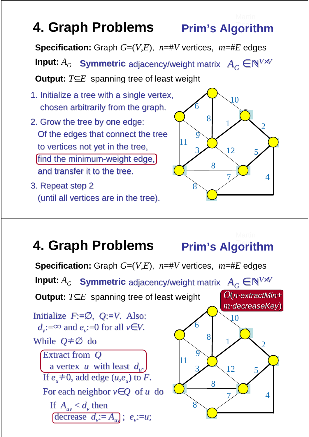## **4. Graph Problems Prim's Algorithm**

**Specification:** Graph  $G=(V,E)$ ,  $n=\#V$  vertices,  $m=\#E$  edges

**Input:**  $A_G$  • Symmetric adjacency/weight matrix  $A_G \in \mathbb{N}^{V \times V}$ 

**Output:** *T*⊆*E* spanning tree of least weight

- 1. Initialize a tree with a single vertex, chosen arbitrarily from the graph.
- 2. Grow the tree by one edge: Of the edges that connect the tree to vertices not yet in the tree, find the minimum-weight edge, and transfer it to the tree.
- 3. Repeat step 2 (until all vertices are in the tree).



## **4. Graph Problems Prim's Algorithm**

**Specification:** Graph  $G=(V,E)$ ,  $n=\#V$  vertices,  $m=\#E$  edges **Input:**  $A_G$  **Symmetric** adjacency/weight matrix  $A_G \in \mathbb{N}^{V \times V}$ **Output:** *T*⊆*E* spanning tree of least weight 11 6 10 8 9 3 8 8  $7 \times 4$ 5 2 1 12 ∞ ∞ ∞ ∞ ∞ ∞ ∞  $\overline{\phantom{0}}$  $\overline{\phantom{0}}$  $\bigcirc$  $\bigcap$  $\frac{1}{2}$  $\sum \frac{10}{2}$   $\sum \frac{12}{2}$ .<br>پ  $\bigcup$  $\overline{\phantom{0}}$ Initialize *F*:=∅, *Q*:=*V*. Also:  $d_v$ :=∞ and  $e_v$ :=0 for all  $v \in V$ . While *Q*≠∅ do Extract from *Q* a vertex *u* with least *d<sup>u</sup>* . If  $e_u \neq 0$ , add edge  $(u,e_u)$  to  $\overline{F}$ . For each neighbor *v*∈*Q* of *u* do If  $A_{uv} < d_v$  then decrease  $d_v := A_w$ ;  $e_v := u$ ; O(*n*·extractMin*+ m·*decreaseKey)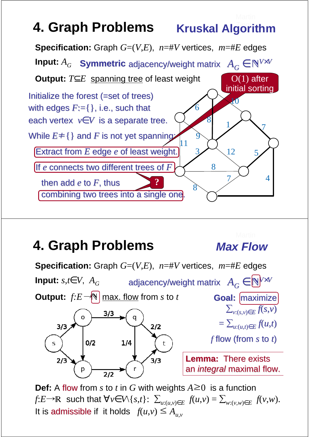## **4. Graph Problems Kruskal Algorithm**



#### **4. Graph Problems**

#### **Max Flow**



**Def:** A flow from *s* to *t* in *G* with weights  $A \ge 0$  is a function  $f: E \rightarrow \mathbb{R}$  such that  $\forall v \in V \setminus \{s,t\}: \sum_{u:(u,v) \in E} f(u,v) = \sum_{w:(v,w) \in E} f(v,w)$ . It is admissible if it holds  $f(u,v) \leq A_{uv}$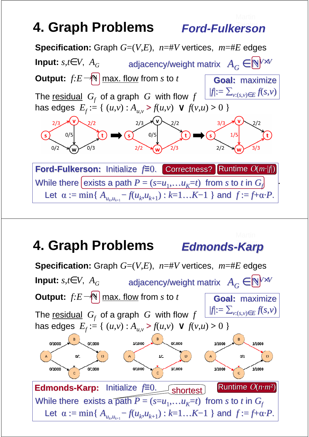#### **Ford-Fulkerson**



#### **Edmonds-Karp 4. Graph Problems**